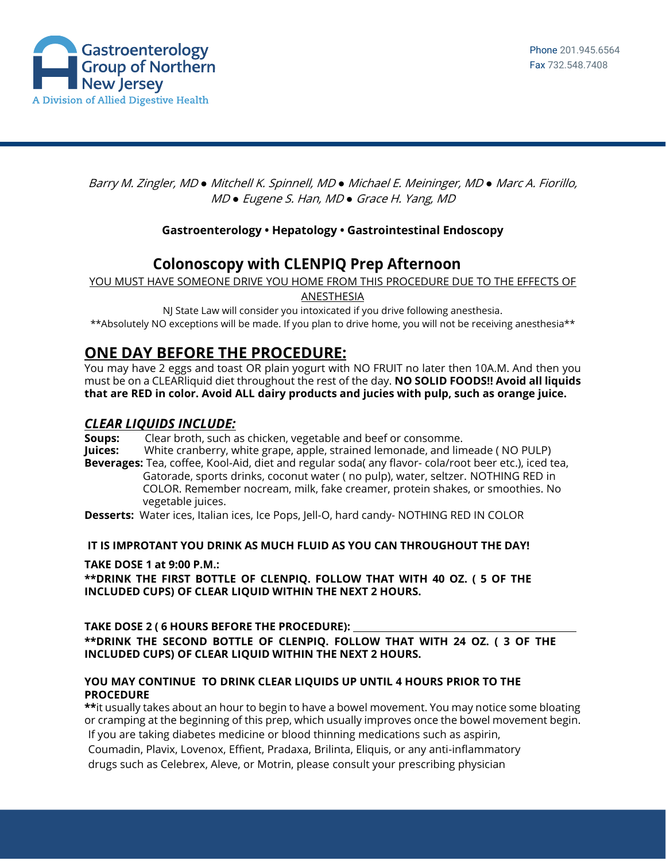

Barry M. Zingler, MD *●* Mitchell K. Spinnell, MD *●* Michael E. Meininger, MD *●* Marc A. Fiorillo, MD *●* Eugene S. Han, MD *●* Grace H. Yang, MD

### **Gastroenterology • Hepatology • Gastrointestinal Endoscopy**

# **Colonoscopy with CLENPIQ Prep Afternoon**

YOU MUST HAVE SOMEONE DRIVE YOU HOME FROM THIS PROCEDURE DUE TO THE EFFECTS OF

ANESTHESIA

NJ State Law will consider you intoxicated if you drive following anesthesia. \*\*Absolutely NO exceptions will be made. If you plan to drive home, you will not be receiving anesthesia\*\*

# **ONE DAY BEFORE THE PROCEDURE:**

You may have 2 eggs and toast OR plain yogurt with NO FRUIT no later then 10A.M. And then you must be on a CLEARliquid diet throughout the rest of the day. **NO SOLID FOODS!! Avoid all liquids that are RED in color. Avoid ALL dairy products and jucies with pulp, such as orange juice.**

## *CLEAR LIQUIDS INCLUDE:*

**Soups:** Clear broth, such as chicken, vegetable and beef or consomme.

**Juices:** White cranberry, white grape, apple, strained lemonade, and limeade ( NO PULP)

**Beverages:** Tea, coffee, Kool-Aid, diet and regular soda( any flavor- cola/root beer etc.), iced tea, Gatorade, sports drinks, coconut water ( no pulp), water, seltzer. NOTHING RED in COLOR. Remember nocream, milk, fake creamer, protein shakes, or smoothies. No vegetable juices.

**Desserts:** Water ices, Italian ices, Ice Pops, Jell-O, hard candy- NOTHING RED IN COLOR

### **IT IS IMPROTANT YOU DRINK AS MUCH FLUID AS YOU CAN THROUGHOUT THE DAY!**

### **TAKE DOSE 1 at 9:00 P.M.:**

**\*\*DRINK THE FIRST BOTTLE OF CLENPIQ. FOLLOW THAT WITH 40 OZ. ( 5 OF THE INCLUDED CUPS) OF CLEAR LIQUID WITHIN THE NEXT 2 HOURS.**

#### **TAKE DOSE 2 ( 6 HOURS BEFORE THE PROCEDURE): \*\*DRINK THE SECOND BOTTLE OF CLENPIQ. FOLLOW THAT WITH 24 OZ. ( 3 OF THE INCLUDED CUPS) OF CLEAR LIQUID WITHIN THE NEXT 2 HOURS.**

### **YOU MAY CONTINUE TO DRINK CLEAR LIQUIDS UP UNTIL 4 HOURS PRIOR TO THE PROCEDURE**

**\*\***it usually takes about an hour to begin to have a bowel movement. You may notice some bloating or cramping at the beginning of this prep, which usually improves once the bowel movement begin. If you are taking diabetes medicine or blood thinning medications such as aspirin,

Coumadin, Plavix, Lovenox, Effient, Pradaxa, Brilinta, Eliquis, or any anti-inflammatory drugs such as Celebrex, Aleve, or Motrin, please consult your prescribing physician